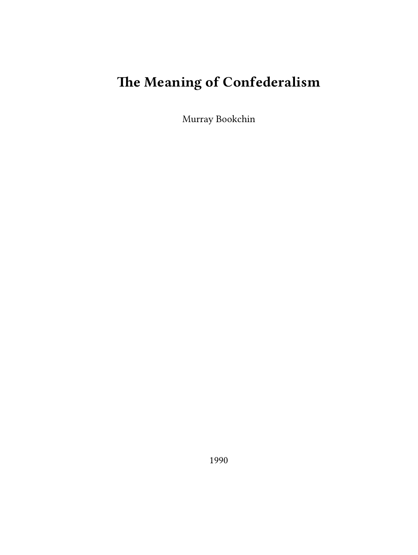# **The Meaning of Confederalism**

Murray Bookchin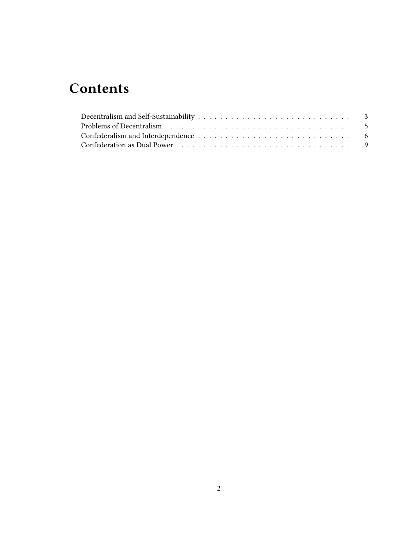## **Contents**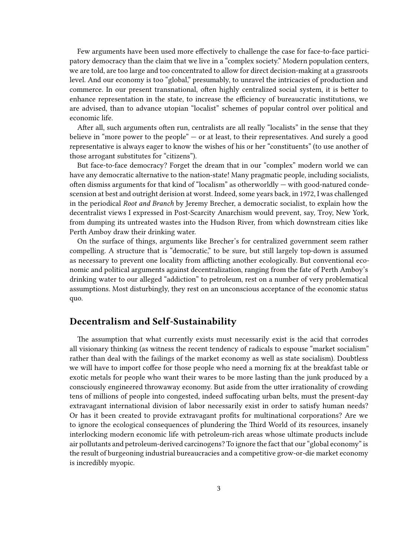Few arguments have been used more effectively to challenge the case for face-to-face participatory democracy than the claim that we live in a "complex society." Modern population centers, we are told, are too large and too concentrated to allow for direct decision-making at a grassroots level. And our economy is too "global," presumably, to unravel the intricacies of production and commerce. In our present transnational, often highly centralized social system, it is better to enhance representation in the state, to increase the efficiency of bureaucratic institutions, we are advised, than to advance utopian "localist" schemes of popular control over political and economic life.

After all, such arguments often run, centralists are all really "localists" in the sense that they believe in "more power to the people" — or at least, to their representatives. And surely a good representative is always eager to know the wishes of his or her "constituents" (to use another of those arrogant substitutes for "citizens").

But face-to-face democracy? Forget the dream that in our "complex" modern world we can have any democratic alternative to the nation-state! Many pragmatic people, including socialists, often dismiss arguments for that kind of "localism" as otherworldly — with good-natured condescension at best and outright derision at worst. Indeed, some years back, in 1972, I was challenged in the periodical *Root and Branch* by Jeremy Brecher, a democratic socialist, to explain how the decentralist views I expressed in Post-Scarcity Anarchism would prevent, say, Troy, New York, from dumping its untreated wastes into the Hudson River, from which downstream cities like Perth Amboy draw their drinking water.

On the surface of things, arguments like Brecher's for centralized government seem rather compelling. A structure that is "democratic," to be sure, but still largely top-down is assumed as necessary to prevent one locality from afflicting another ecologically. But conventional economic and political arguments against decentralization, ranging from the fate of Perth Amboy's drinking water to our alleged "addiction" to petroleum, rest on a number of very problematical assumptions. Most disturbingly, they rest on an unconscious acceptance of the economic status quo.

### <span id="page-2-0"></span>**Decentralism and Self-Sustainability**

The assumption that what currently exists must necessarily exist is the acid that corrodes all visionary thinking (as witness the recent tendency of radicals to espouse "market socialism" rather than deal with the failings of the market economy as well as state socialism). Doubtless we will have to import coffee for those people who need a morning fix at the breakfast table or exotic metals for people who want their wares to be more lasting than the junk produced by a consciously engineered throwaway economy. But aside from the utter irrationality of crowding tens of millions of people into congested, indeed suffocating urban belts, must the present-day extravagant international division of labor necessarily exist in order to satisfy human needs? Or has it been created to provide extravagant profits for multinational corporations? Are we to ignore the ecological consequences of plundering the Third World of its resources, insanely interlocking modern economic life with petroleum-rich areas whose ultimate products include air pollutants and petroleum-derived carcinogens? To ignore the fact that our "global economy" is the result of burgeoning industrial bureaucracies and a competitive grow-or-die market economy is incredibly myopic.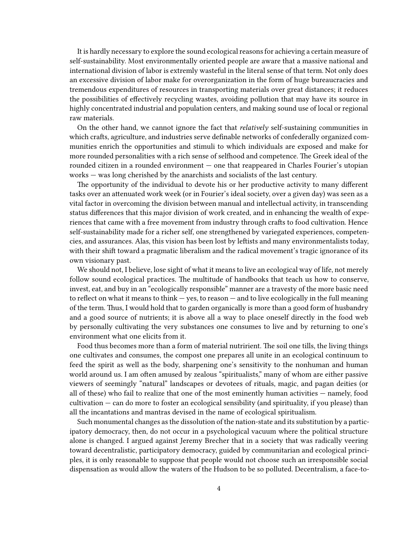It is hardly necessary to explore the sound ecological reasons for achieving a certain measure of self-sustainability. Most environmentally oriented people are aware that a massive national and international division of labor is extremly wasteful in the literal sense of that term. Not only does an excessive division of labor make for overorganization in the form of huge bureaucracies and tremendous expenditures of resources in transporting materials over great distances; it reduces the possibilities of effectively recycling wastes, avoiding pollution that may have its source in highly concentrated industrial and population centers, and making sound use of local or regional raw materials.

On the other hand, we cannot ignore the fact that *relatively* self-sustaining communities in which crafts, agriculture, and industries serve definable networks of confederally organized communities enrich the opportunities and stimuli to which individuals are exposed and make for more rounded personalities with a rich sense of selfhood and competence. The Greek ideal of the rounded citizen in a rounded environment — one that reappeared in Charles Fourier's utopian works — was long cherished by the anarchists and socialists of the last century.

The opportunity of the individual to devote his or her productive activity to many different tasks over an attenuated work week (or in Fourier's ideal society, over a given day) was seen as a vital factor in overcoming the division between manual and intellectual activity, in transcending status differences that this major division of work created, and in enhancing the wealth of experiences that came with a free movement from industry through crafts to food cultivation. Hence self-sustainability made for a richer self, one strengthened by variegated experiences, competencies, and assurances. Alas, this vision has been lost by leftists and many environmentalists today, with their shift toward a pragmatic liberalism and the radical movement's tragic ignorance of its own visionary past.

We should not, I believe, lose sight of what it means to live an ecological way of life, not merely follow sound ecological practices. The multitude of handbooks that teach us how to conserve, invest, eat, and buy in an "ecologically responsible" manner are a travesty of the more basic need to reflect on what it means to think  $-$  yes, to reason  $-$  and to live ecologically in the full meaning of the term. Thus, I would hold that to garden organically is more than a good form of husbandry and a good source of nutrients; it is above all a way to place oneself directly in the food web by personally cultivating the very substances one consumes to live and by returning to one's environment what one elicits from it.

Food thus becomes more than a form of material nutririent. The soil one tills, the living things one cultivates and consumes, the compost one prepares all unite in an ecological continuum to feed the spirit as well as the body, sharpening one's sensitivity to the nonhuman and human world around us. I am often amused by zealous "spiritualists," many of whom are either passive viewers of seemingly "natural" landscapes or devotees of rituals, magic, and pagan deities (or all of these) who fail to realize that one of the most eminently human activities — namely, food cultivation — can do more to foster an ecological sensibility (and spirituality, if you please) than all the incantations and mantras devised in the name of ecological spiritualism.

Such monumental changes as the dissolution of the nation-state and its substitution by a participatory democracy, then, do not occur in a psychological vacuum where the political structure alone is changed. I argued against Jeremy Brecher that in a society that was radically veering toward decentralistic, participatory democracy, guided by communitarian and ecological principles, it is only reasonable to suppose that people would not choose such an irresponsible social dispensation as would allow the waters of the Hudson to be so polluted. Decentralism, a face-to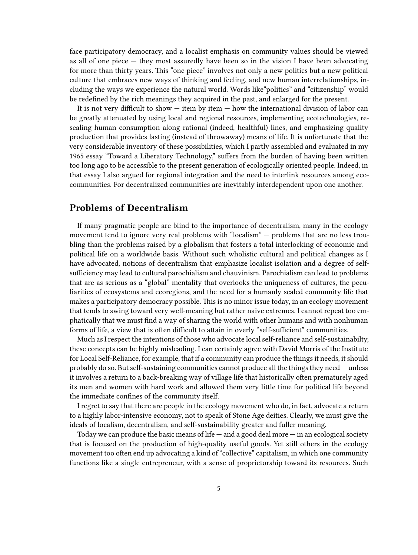face participatory democracy, and a localist emphasis on community values should be viewed as all of one piece  $-$  they most assuredly have been so in the vision I have been advocating for more than thirty years. This "one piece" involves not only a new politics but a new political culture that embraces new ways of thinking and feeling, and new human interrelationships, including the ways we experience the natural world. Words like"politics" and "citizenship" would be redefined by the rich meanings they acquired in the past, and enlarged for the present.

It is not very difficult to show  $-$  item by item  $-$  how the international division of labor can be greatly attenuated by using local and regional resources, implementing ecotechnologies, resealing human consumption along rational (indeed, healthful) lines, and emphasizing quality production that provides lasting (instead of throwaway) means of life. It is unfortunate that the very considerable inventory of these possibilities, which I partly assembled and evaluated in my 1965 essay "Toward a Liberatory Technology," suffers from the burden of having been written too long ago to be accessible to the present generation of ecologically oriented people. Indeed, in that essay I also argued for regional integration and the need to interlink resources among ecocommunities. For decentralized communities are inevitably interdependent upon one another.

#### <span id="page-4-0"></span>**Problems of Decentralism**

If many pragmatic people are blind to the importance of decentralism, many in the ecology movement tend to ignore very real problems with "localism" — problems that are no less troubling than the problems raised by a globalism that fosters a total interlocking of economic and political life on a worldwide basis. Without such wholistic cultural and political changes as I have advocated, notions of decentralism that emphasize localist isolation and a degree of selfsufficiency may lead to cultural parochialism and chauvinism. Parochialism can lead to problems that are as serious as a "global" mentality that overlooks the uniqueness of cultures, the peculiarities of ecosystems and ecoregions, and the need for a humanly scaled community life that makes a participatory democracy possible. This is no minor issue today, in an ecology movement that tends to swing toward very well-meaning but rather naive extremes. I cannot repeat too emphatically that we must find a way of sharing the world with other humans and with nonhuman forms of life, a view that is often difficult to attain in overly "self-sufficient" communities.

Much as I respect the intentions of those who advocate local self-reliance and self-sustainabilty, these concepts can be highly misleading. I can certainly agree with David Morris of the Institute for Local Self-Reliance, for example, that if a community can produce the things it needs, it should probably do so. But self-sustaining communities cannot produce all the things they need — unless it involves a return to a back-breaking way of village life that historically often prematurely aged its men and women with hard work and allowed them very little time for political life beyond the immediate confines of the community itself.

I regret to say that there are people in the ecology movement who do, in fact, advocate a return to a highly labor-intensive economy, not to speak of Stone Age deities. Clearly, we must give the ideals of localism, decentralism, and self-sustainability greater and fuller meaning.

Today we can produce the basic means of life  $-$  and a good deal more  $-$  in an ecological society that is focused on the production of high-quality useful goods. Yet still others in the ecology movement too often end up advocating a kind of "collective" capitalism, in which one community functions like a single entrepreneur, with a sense of proprietorship toward its resources. Such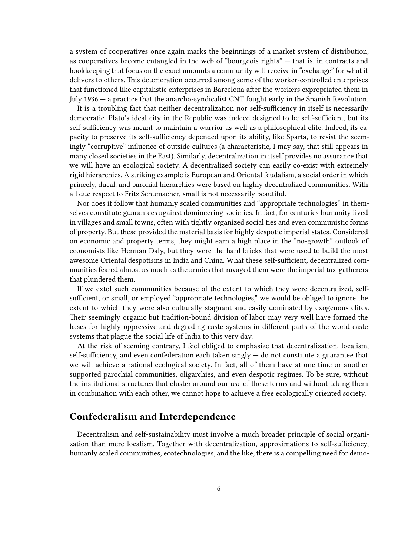a system of cooperatives once again marks the beginnings of a market system of distribution, as cooperatives become entangled in the web of "bourgeois rights" — that is, in contracts and bookkeeping that focus on the exact amounts a community will receive in "exchange" for what it delivers to others. This deterioration occurred among some of the worker-controlled enterprises that functioned like capitalistic enterprises in Barcelona after the workers expropriated them in July 1936 — a practice that the anarcho-syndicalist CNT fought early in the Spanish Revolution.

It is a troubling fact that neither decentralization nor self-sufficiency in itself is necessarily democratic. Plato's ideal city in the Republic was indeed designed to be self-sufficient, but its self-sufficiency was meant to maintain a warrior as well as a philosophical elite. Indeed, its capacity to preserve its self-sufficiency depended upon its ability, like Sparta, to resist the seemingly "corruptive" influence of outside cultures (a characteristic, I may say, that still appears in many closed societies in the East). Similarly, decentralization in itself provides no assurance that we will have an ecological society. A decentralized society can easily co-exist with extremely rigid hierarchies. A striking example is European and Oriental feudalism, a social order in which princely, ducal, and baronial hierarchies were based on highly decentralized communities. With all due respect to Fritz Schumacher, small is not necessarily beautiful.

Nor does it follow that humanly scaled communities and "appropriate technologies" in themselves constitute guarantees against domineering societies. In fact, for centuries humanity lived in villages and small towns, often with tightly organized social ties and even communistic forms of property. But these provided the material basis for highly despotic imperial states. Considered on economic and property terms, they might earn a high place in the "no-growth" outlook of economists like Herman Daly, but they were the hard bricks that were used to build the most awesome Oriental despotisms in India and China. What these self-sufficient, decentralized communities feared almost as much as the armies that ravaged them were the imperial tax-gatherers that plundered them.

If we extol such communities because of the extent to which they were decentralized, selfsufficient, or small, or employed "appropriate technologies," we would be obliged to ignore the extent to which they were also culturally stagnant and easily dominated by exogenous elites. Their seemingly organic but tradition-bound division of labor may very well have formed the bases for highly oppressive and degrading caste systems in different parts of the world-caste systems that plague the social life of India to this very day.

At the risk of seeming contrary, I feel obliged to emphasize that decentralization, localism, self-sufficiency, and even confederation each taken singly — do not constitute a guarantee that we will achieve a rational ecological society. In fact, all of them have at one time or another supported parochial communities, oligarchies, and even despotic regimes. To be sure, without the institutional structures that cluster around our use of these terms and without taking them in combination with each other, we cannot hope to achieve a free ecologically oriented society.

#### <span id="page-5-0"></span>**Confederalism and Interdependence**

Decentralism and self-sustainability must involve a much broader principle of social organization than mere localism. Together with decentralization, approximations to self-sufficiency, humanly scaled communities, ecotechnologies, and the like, there is a compelling need for demo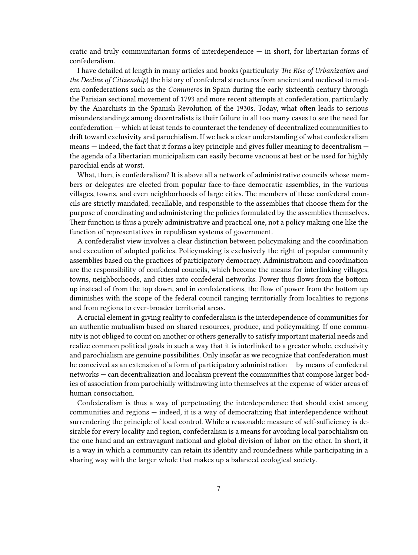cratic and truly communitarian forms of interdependence — in short, for libertarian forms of confederalism.

I have detailed at length in many articles and books (particularly *The Rise of Urbanization and the Decline of Citizenship*) the history of confederal structures from ancient and medieval to modern confederations such as the *Comuneros* in Spain during the early sixteenth century through the Parisian sectional movement of 1793 and more recent attempts at confederation, particularly by the Anarchists in the Spanish Revolution of the 1930s. Today, what often leads to serious misunderstandings among decentralists is their failure in all too many cases to see the need for confederation — which at least tends to counteract the tendency of decentralized communities to drift toward exclusivity and parochialism. If we lack a clear understanding of what confederalism means — indeed, the fact that it forms a key principle and gives fuller meaning to decentralism the agenda of a libertarian municipalism can easily become vacuous at best or be used for highly parochial ends at worst.

What, then, is confederalism? It is above all a network of administrative councils whose members or delegates are elected from popular face-to-face democratic assemblies, in the various villages, towns, and even neighborhoods of large cities. The members of these confederal councils are strictly mandated, recallable, and responsible to the assemblies that choose them for the purpose of coordinating and administering the policies formulated by the assemblies themselves. Their function is thus a purely administrative and practical one, not a policy making one like the function of representatives in republican systems of government.

A confederalist view involves a clear distinction between policymaking and the coordination and execution of adopted policies. Policymaking is exclusively the right of popular community assemblies based on the practices of participatory democracy. Administratiom and coordination are the responsibility of confederal councils, which become the means for interlinking villages, towns, neighborhoods, and cities into confederal networks. Power thus flows from the bottom up instead of from the top down, and in confederations, the flow of power from the bottom up diminishes with the scope of the federal council ranging territorially from localities to regions and from regions to ever-broader territorial areas.

A crucial element in giving reality to confederalism is the interdependence of communities for an authentic mutualism based on shared resources, produce, and policymaking. If one community is not obliged to count on another or others generally to satisfy important material needs and realize common political goals in such a way that it is interlinked to a greater whole, exclusivity and parochialism are genuine possibilities. Only insofar as we recognize that confederation must be conceived as an extension of a form of participatory administration — by means of confederal networks — can decentralization and localism prevent the communities that compose larger bodies of association from parochially withdrawing into themselves at the expense of wider areas of human consociation.

Confederalism is thus a way of perpetuating the interdependence that should exist among communities and regions — indeed, it is a way of democratizing that interdependence without surrendering the principle of local control. While a reasonable measure of self-sufficiency is desirable for every locality and region, confederalism is a means for avoiding local parochialism on the one hand and an extravagant national and global division of labor on the other. In short, it is a way in which a community can retain its identity and roundedness while participating in a sharing way with the larger whole that makes up a balanced ecological society.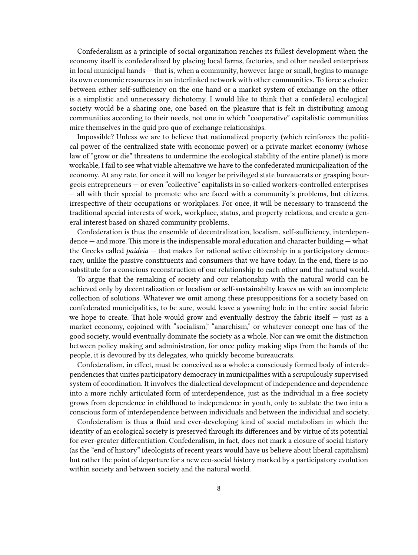Confederalism as a principle of social organization reaches its fullest development when the economy itself is confederalized by placing local farms, factories, and other needed enterprises in local municipal hands — that is, when a community, however large or small, begins to manage its own economic resources in an interlinked network with other communities. To force a choice between either self-sufficiency on the one hand or a market system of exchange on the other is a simplistic and unnecessary dichotomy. I would like to think that a confederal ecological society would be a sharing one, one based on the pleasure that is felt in distributing among communities according to their needs, not one in which "cooperative" capitalistic communities mire themselves in the quid pro quo of exchange relationships.

Impossible? Unless we are to believe that nationalized property (which reinforces the political power of the centralized state with economic power) or a private market economy (whose law of "grow or die" threatens to undermine the ecological stability of the entire planet) is more workable, I fail to see what viable altemative we have to the confederated municipalization of the economy. At any rate, for once it will no longer be privileged state bureaucrats or grasping bourgeois entrepreneurs — or even "collective" capitalists in so-called workers-controlled enterprises — all with their special to promote who are faced with a community's problems, but citizens, irrespective of their occupations or workplaces. For once, it will be necessary to transcend the traditional special interests of work, workplace, status, and property relations, and create a general interest based on shared community problems.

Confederation is thus the ensemble of decentralization, localism, self-sufficiency, interdependence — and more. This more is the indispensable moral education and character building — what the Greeks called *paideia* — that makes for rational active citizenship in a participatory democracy, unlike the passive constituents and consumers that we have today. In the end, there is no substitute for a conscious reconstruction of our relationship to each other and the natural world.

To argue that the remaking of society and our relationship with the natural world can be achieved only by decentralization or localism or self-sustainabilty leaves us with an incomplete collection of solutions. Whatever we omit among these presuppositions for a society based on confederated municipalities, to be sure, would leave a yawning hole in the entire social fabric we hope to create. That hole would grow and eventually destroy the fabric itself  $-$  just as a market economy, cojoined with "socialism," "anarchism," or whatever concept one has of the good society, would eventually dominate the society as a whole. Nor can we omit the distinction between policy making and administration, for once policy making slips from the hands of the people, it is devoured by its delegates, who quickly become bureaucrats.

Confederalism, in effect, must be conceived as a whole: a consciously formed body of interdependencies that unites participatory democracy in municipalities with a scrupulously supervised system of coordination. It involves the dialectical development of independence and dependence into a more richly articulated form of interdependence, just as the individual in a free society grows from dependence in childhood to independence in youth, only to sublate the two into a conscious form of interdependence between individuals and between the individual and society.

Confederalism is thus a fluid and ever-developing kind of social metabolism in which the identity of an ecological society is preserved through its differences and by virtue of its potential for ever-greater differentiation. Confederalism, in fact, does not mark a closure of social history (as the "end of history" ideologists of recent years would have us believe about liberal capitalism) but rather the point of departure for a new eco-social history marked by a participatory evolution within society and between society and the natural world.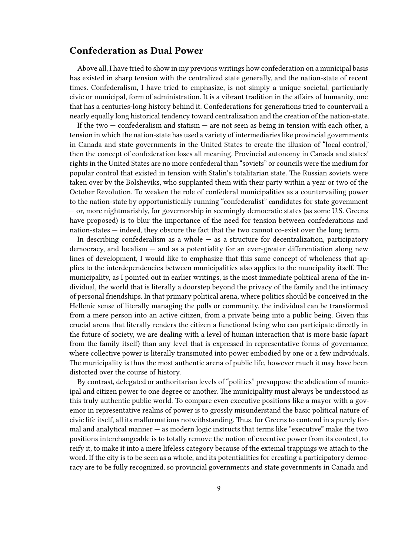### <span id="page-8-0"></span>**Confederation as Dual Power**

Above all, I have tried to show in my previous writings how confederation on a municipal basis has existed in sharp tension with the centralized state generally, and the nation-state of recent times. Confederalism, I have tried to emphasize, is not simply a unique societal, particularly civic or municipal, form of administration. It is a vibrant tradition in the affairs of humanity, one that has a centuries-long history behind it. Confederations for generations tried to countervail a nearly equally long historical tendency toward centralization and the creation of the nation-state.

If the two  $-$  confederalism and statism  $-$  are not seen as being in tension with each other, a tension in which the nation-state has used a variety of intermediaries like provincial governments in Canada and state governments in the United States to create the illusion of "local control," then the concept of confederation loses all meaning. Provincial autonomy in Canada and states' rights in the United States are no more confederal than "soviets" or councils were the medium for popular control that existed in tension with Stalin's totalitarian state. The Russian soviets were taken over by the Bolsheviks, who supplanted them with their party within a year or two of the October Revolution. To weaken the role of confederal municipalities as a countervailing power to the nation-state by opportunistically running "confederalist" candidates for state govemment — or, more nightmarishly, for governorship in seemingly democratic states (as some U.S. Greens have proposed) is to blur the importance of the need for tension between confederations and nation-states — indeed, they obscure the fact that the two cannot co-exist over the long term.

In describing confederalism as a whole  $-$  as a structure for decentralization, participatory democracy, and localism — and as a potentiality for an ever-greater differentiation along new lines of development, I would like to emphasize that this same concept of wholeness that applies to the interdependencies between municipalities also applies to the muncipality itself. The municipality, as I pointed out in earlier writings, is the most immediate political arena of the individual, the world that is literally a doorstep beyond the privacy of the family and the intimacy of personal friendships. In that primary political arena, where politics should be conceived in the Hellenic sense of literally managing the polls or community, the individual can be transformed from a mere person into an active citizen, from a private being into a public being. Given this crucial arena that literally renders the citizen a functional being who can participate directly in the future of society, we are dealing with a level of human interaction that is more basic (apart from the family itself) than any level that is expressed in representative forms of governance, where collective power is literally transmuted into power embodied by one or a few individuals. The municipality is thus the most authentic arena of public life, however much it may have been distorted over the course of history.

By contrast, delegated or authoritarian levels of "politics" presuppose the abdication of municipal and citizen power to one degree or another. The municipality must always be understood as this truly authentic public world. To compare even executive positions like a mayor with a govemor in representative realms of power is to grossly misunderstand the basic political nature of civic life itself, all its malformations notwithstanding. Thus, for Greens to contend in a purely formal and analytical manner — as modern logic instructs that terms like "executive" make the two positions interchangeable is to totally remove the notion of executive power from its context, to reify it, to make it into a mere lifeless category because of the extemal trappings we attach to the word. If the city is to be seen as a whole, and its potentialities for creating a participatory democracy are to be fully recognized, so provincial governments and state governments in Canada and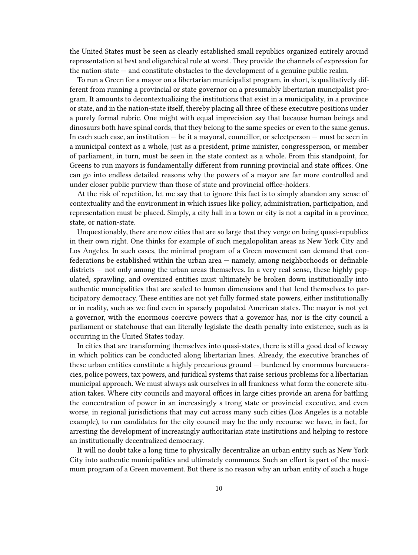the United States must be seen as clearly established small republics organized entirely around representation at best and oligarchical rule at worst. They provide the channels of expression for the nation-state — and constitute obstacles to the development of a genuine public realm.

To run a Green for a mayor on a libertarian municipalist program, in short, is qualitatively different from running a provincial or state governor on a presumably libertarian muncipalist program. It amounts to decontextualizing the institutions that exist in a municipality, in a province or state, and in the nation-state itself, thereby placing all three of these executive positions under a purely formal rubric. One might with equal imprecision say that because human beings and dinosaurs both have spinal cords, that they belong to the same species or even to the same genus. In each such case, an institution — be it a mayoral, councillor, or selectperson — must be seen in a municipal context as a whole, just as a president, prime minister, congressperson, or member of parliament, in turn, must be seen in the state context as a whole. From this standpoint, for Greens to run mayors is fundamentally different from running provincial and state offices. One can go into endless detailed reasons why the powers of a mayor are far more controlled and under closer public purview than those of state and provincial office-holders.

At the risk of repetition, let me say that to ignore this fact is to simply abandon any sense of contextuality and the environment in which issues like policy, administration, participation, and representation must be placed. Simply, a city hall in a town or city is not a capital in a province, state, or nation-state.

Unquestionably, there are now cities that are so large that they verge on being quasi-republics in their own right. One thinks for example of such megalopolitan areas as New York City and Los Angeles. In such cases, the minimal program of a Green movement can demand that confederations be established within the urban area — namely, among neighborhoods or definable districts — not only among the urban areas themselves. In a very real sense, these highly populated, sprawling, and oversized entities must ultimately be broken down institutionally into authentic muncipalities that are scaled to human dimensions and that lend themselves to participatory democracy. These entities are not yet fully formed state powers, either institutionally or in reality, such as we find even in sparsely populated American states. The mayor is not yet a governor, with the enormous coercive powers that a govemor has, nor is the city council a parliament or statehouse that can literally legislate the death penalty into existence, such as is occurring in the United States today.

In cities that are transforming themselves into quasi-states, there is still a good deal of leeway in which politics can be conducted along libertarian lines. Already, the executive branches of these urban entities constitute a highly precarious ground — burdened by enormous bureaucracies, police powers, tax powers, and juridical systems that raise serious problems for a libertarian municipal approach. We must always ask ourselves in all frankness what form the concrete situation takes. Where city councils and mayoral offices in large cities provide an arena for battling the concentration of power in an increasingly s trong state or provincial executive, and even worse, in regional jurisdictions that may cut across many such cities (Los Angeles is a notable example), to run candidates for the city council may be the only recourse we have, in fact, for arresting the development of increasingly authoritarian state institutions and helping to restore an institutionally decentralized democracy.

It will no doubt take a long time to physically decentralize an urban entity such as New York City into authentic municipalities and ultimately communes. Such an effort is part of the maximum program of a Green movement. But there is no reason why an urban entity of such a huge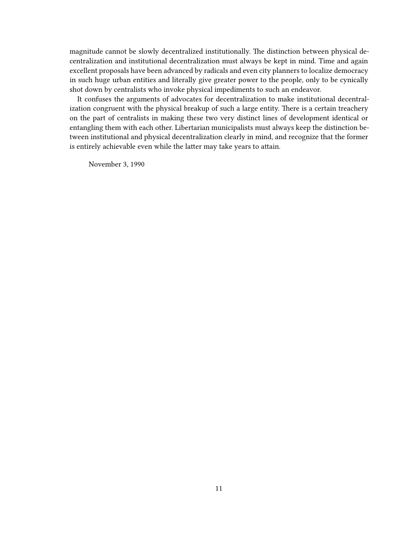magnitude cannot be slowly decentralized institutionally. The distinction between physical decentralization and institutional decentralization must always be kept in mind. Time and again excellent proposals have been advanced by radicals and even city planners to localize democracy in such huge urban entities and literally give greater power to the people, only to be cynically shot down by centralists who invoke physical impediments to such an endeavor.

It confuses the arguments of advocates for decentralization to make institutional decentralization congruent with the physical breakup of such a large entity. There is a certain treachery on the part of centralists in making these two very distinct lines of development identical or entangling them with each other. Libertarian municipalists must always keep the distinction between institutional and physical decentralization clearly in mind, and recognize that the former is entirely achievable even while the latter may take years to attain.

November 3, 1990